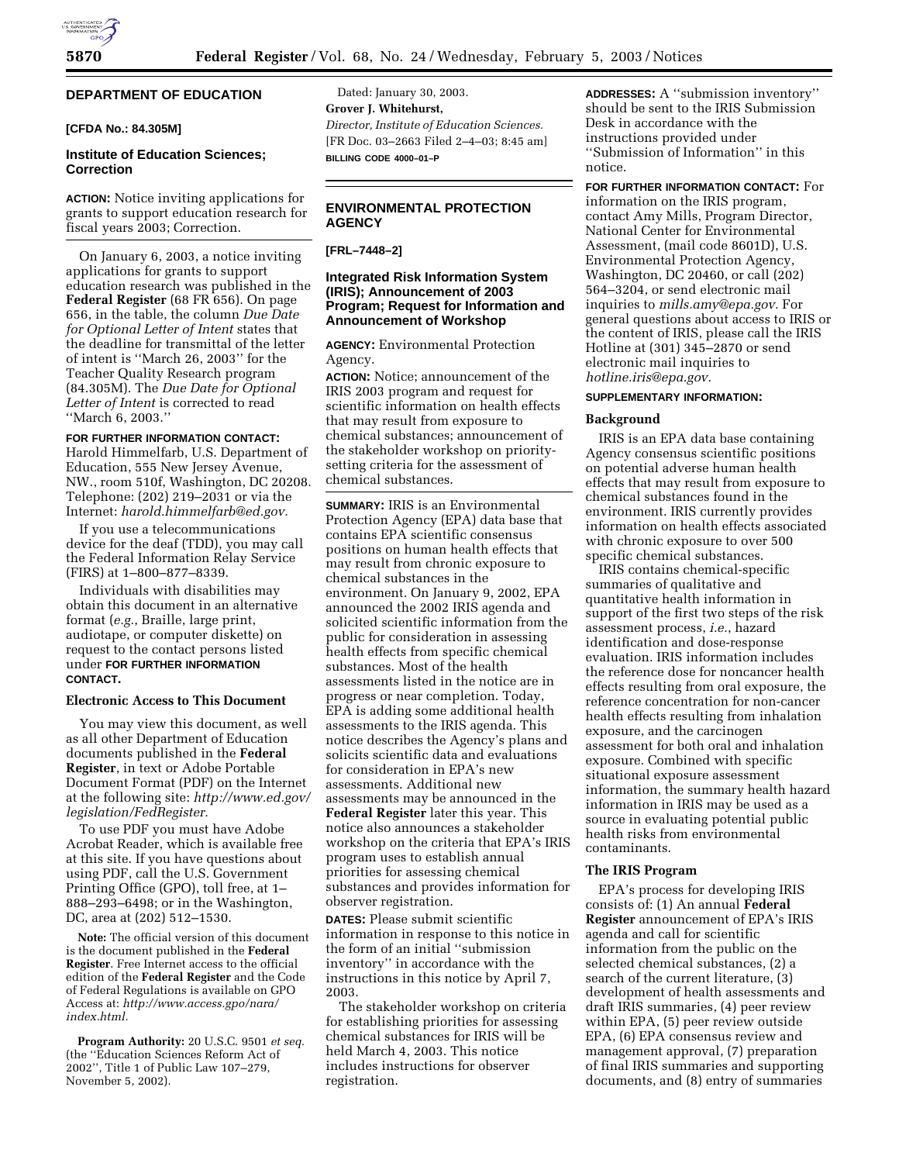# **DEPARTMENT OF EDUCATION**

#### **[CFDA No.: 84.305M]**

### **Institute of Education Sciences; Correction**

**ACTION:** Notice inviting applications for grants to support education research for fiscal years 2003; Correction.

On January 6, 2003, a notice inviting applications for grants to support education research was published in the **Federal Register** (68 FR 656). On page 656, in the table, the column *Due Date for Optional Letter of Intent* states that the deadline for transmittal of the letter of intent is ''March 26, 2003'' for the Teacher Quality Research program (84.305M). The *Due Date for Optional Letter of Intent* is corrected to read ''March 6, 2003.''

## **FOR FURTHER INFORMATION CONTACT:** Harold Himmelfarb, U.S. Department of Education, 555 New Jersey Avenue, NW., room 510f, Washington, DC 20208. Telephone: (202) 219–2031 or via the Internet: *harold.himmelfarb@ed.gov.*

If you use a telecommunications device for the deaf (TDD), you may call the Federal Information Relay Service (FIRS) at 1–800–877–8339.

Individuals with disabilities may obtain this document in an alternative format (*e.g.*, Braille, large print, audiotape, or computer diskette) on request to the contact persons listed under **FOR FURTHER INFORMATION CONTACT.**

# **Electronic Access to This Document**

You may view this document, as well as all other Department of Education documents published in the **Federal Register**, in text or Adobe Portable Document Format (PDF) on the Internet at the following site: *http://www.ed.gov/ legislation/FedRegister.*

To use PDF you must have Adobe Acrobat Reader, which is available free at this site. If you have questions about using PDF, call the U.S. Government Printing Office (GPO), toll free, at 1– 888–293–6498; or in the Washington, DC, area at (202) 512–1530.

**Note:** The official version of this document is the document published in the **Federal Register**. Free Internet access to the official edition of the **Federal Register** and the Code of Federal Regulations is available on GPO Access at: *http://www.access.gpo/nara/ index.html.*

**Program Authority:** 20 U.S.C. 9501 *et seq.* (the ''Education Sciences Reform Act of 2002'', Title 1 of Public Law 107–279, November 5, 2002).

Dated: January 30, 2003. **Grover J. Whitehurst,**  *Director, Institute of Education Sciences.* [FR Doc. 03–2663 Filed 2–4–03; 8:45 am] **BILLING CODE 4000–01–P**

# **ENVIRONMENTAL PROTECTION AGENCY**

**[FRL–7448–2]** 

## **Integrated Risk Information System (IRIS); Announcement of 2003 Program; Request for Information and Announcement of Workshop**

**AGENCY:** Environmental Protection Agency.

**ACTION:** Notice; announcement of the IRIS 2003 program and request for scientific information on health effects that may result from exposure to chemical substances; announcement of the stakeholder workshop on prioritysetting criteria for the assessment of chemical substances.

**SUMMARY:** IRIS is an Environmental Protection Agency (EPA) data base that contains EPA scientific consensus positions on human health effects that may result from chronic exposure to chemical substances in the environment. On January 9, 2002, EPA announced the 2002 IRIS agenda and solicited scientific information from the public for consideration in assessing health effects from specific chemical substances. Most of the health assessments listed in the notice are in progress or near completion. Today, EPA is adding some additional health assessments to the IRIS agenda. This notice describes the Agency's plans and solicits scientific data and evaluations for consideration in EPA's new assessments. Additional new assessments may be announced in the

**Federal Register** later this year. This notice also announces a stakeholder workshop on the criteria that EPA's IRIS program uses to establish annual priorities for assessing chemical substances and provides information for observer registration.

**DATES:** Please submit scientific information in response to this notice in the form of an initial ''submission inventory'' in accordance with the instructions in this notice by April 7, 2003.

The stakeholder workshop on criteria for establishing priorities for assessing chemical substances for IRIS will be held March 4, 2003. This notice includes instructions for observer registration.

**ADDRESSES:** A ''submission inventory'' should be sent to the IRIS Submission Desk in accordance with the instructions provided under ''Submission of Information'' in this notice.

**FOR FURTHER INFORMATION CONTACT:** For information on the IRIS program, contact Amy Mills, Program Director, National Center for Environmental Assessment, (mail code 8601D), U.S. Environmental Protection Agency, Washington, DC 20460, or call (202) 564–3204, or send electronic mail inquiries to *mills.amy@epa.gov.* For general questions about access to IRIS or the content of IRIS, please call the IRIS Hotline at (301) 345–2870 or send electronic mail inquiries to *hotline.iris@epa.gov.*

### **SUPPLEMENTARY INFORMATION:**

#### **Background**

IRIS is an EPA data base containing Agency consensus scientific positions on potential adverse human health effects that may result from exposure to chemical substances found in the environment. IRIS currently provides information on health effects associated with chronic exposure to over 500 specific chemical substances.

IRIS contains chemical-specific summaries of qualitative and quantitative health information in support of the first two steps of the risk assessment process, *i.e.*, hazard identification and dose-response evaluation. IRIS information includes the reference dose for noncancer health effects resulting from oral exposure, the reference concentration for non-cancer health effects resulting from inhalation exposure, and the carcinogen assessment for both oral and inhalation exposure. Combined with specific situational exposure assessment information, the summary health hazard information in IRIS may be used as a source in evaluating potential public health risks from environmental contaminants.

### **The IRIS Program**

EPA's process for developing IRIS consists of: (1) An annual **Federal Register** announcement of EPA's IRIS agenda and call for scientific information from the public on the selected chemical substances, (2) a search of the current literature, (3) development of health assessments and draft IRIS summaries, (4) peer review within EPA, (5) peer review outside EPA, (6) EPA consensus review and management approval, (7) preparation of final IRIS summaries and supporting documents, and (8) entry of summaries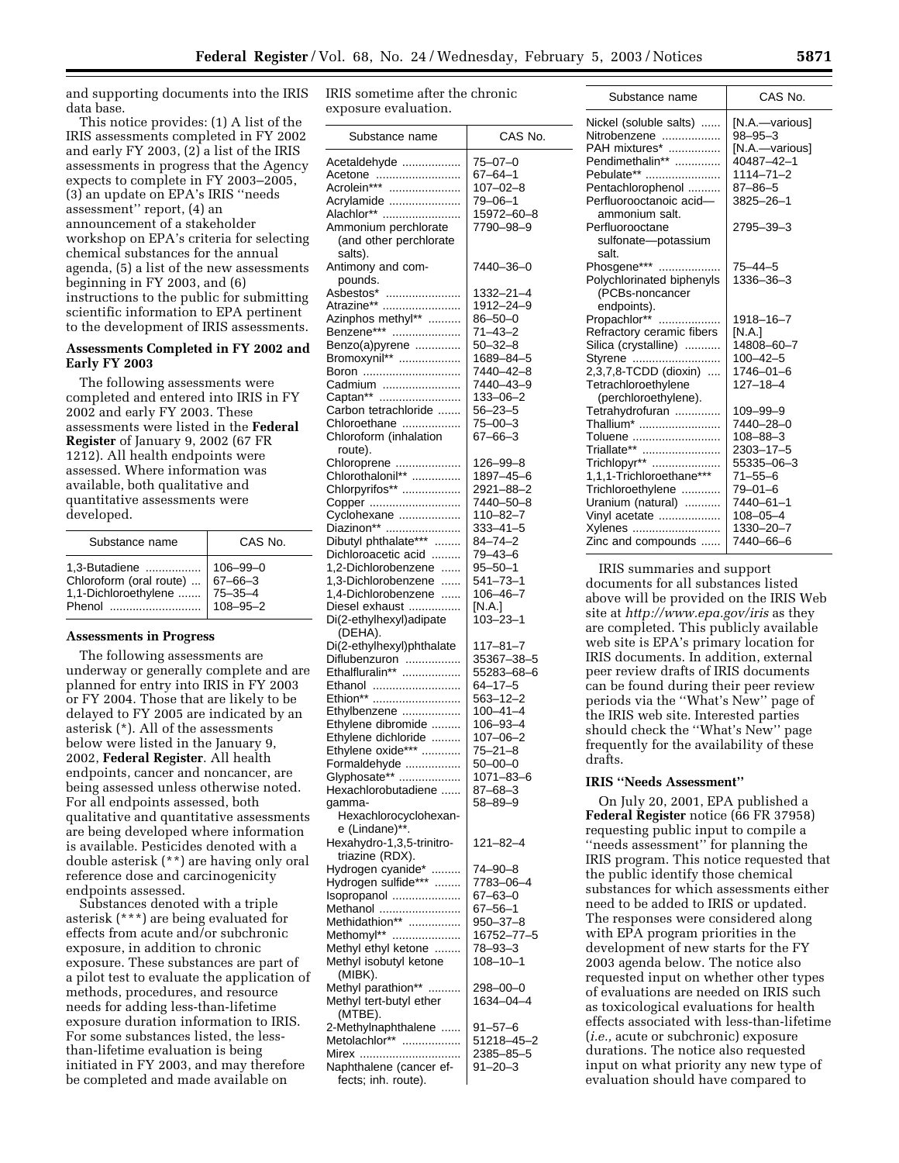and supporting documents into the IRIS data base.

This notice provides: (1) A list of the IRIS assessments completed in FY 2002 and early FY 2003, (2) a list of the IRIS assessments in progress that the Agency expects to complete in FY 2003–2005, (3) an update on EPA's IRIS ''needs assessment'' report, (4) an announcement of a stakeholder workshop on EPA's criteria for selecting chemical substances for the annual agenda, (5) a list of the new assessments beginning in FY 2003, and (6) instructions to the public for submitting scientific information to EPA pertinent to the development of IRIS assessments.

## **Assessments Completed in FY 2002 and Early FY 2003**

The following assessments were completed and entered into IRIS in FY 2002 and early FY 2003. These assessments were listed in the **Federal Register** of January 9, 2002 (67 FR 1212). All health endpoints were assessed. Where information was available, both qualitative and quantitative assessments were developed.

| Substance name | CAS No.        |
|----------------|----------------|
| 1.3-Butadiene  | $106 - 99 - 0$ |

## **Assessments in Progress**

The following assessments are underway or generally complete and are planned for entry into IRIS in FY 2003 or FY 2004. Those that are likely to be delayed to FY 2005 are indicated by an asterisk (\*). All of the assessments below were listed in the January 9, 2002, **Federal Register**. All health endpoints, cancer and noncancer, are being assessed unless otherwise noted. For all endpoints assessed, both qualitative and quantitative assessments are being developed where information is available. Pesticides denoted with a double asterisk (\*\*) are having only oral reference dose and carcinogenicity endpoints assessed.

Substances denoted with a triple asterisk (\*\*\*) are being evaluated for effects from acute and/or subchronic exposure, in addition to chronic exposure. These substances are part of a pilot test to evaluate the application of methods, procedures, and resource needs for adding less-than-lifetime exposure duration information to IRIS. For some substances listed, the lessthan-lifetime evaluation is being initiated in FY 2003, and may therefore be completed and made available on

IRIS sometime after the chronic exposure evaluation.

| Substance name                     | CAS No.         |
|------------------------------------|-----------------|
| Acetaldehyde                       | $75 - 07 - 0$   |
| Acetone                            | $67 - 64 - 1$   |
| Acrolein***                        | $107 - 02 - 8$  |
|                                    |                 |
| Acrylamide                         | $79 - 06 - 1$   |
| Alachlor**                         | 15972-60-8      |
| Ammonium perchlorate               | 7790-98-9       |
| (and other perchlorate             |                 |
| salts).                            |                 |
|                                    |                 |
| Antimony and com-                  | 7440–36–0       |
| pounds.                            |                 |
| Asbestos*                          | 1332–21–4       |
|                                    | 1912-24-9       |
| Atrazine**<br>Azinphos methyl**    | $86 - 50 - 0$   |
| Benzene***                         | $71 - 43 - 2$   |
|                                    | $50 - 32 - 8$   |
| Benzo(a)pyrene                     |                 |
| Bromoxynil**                       | 1689-84-5       |
| Boron                              | 7440-42-8       |
| Cadmium                            | 7440-43-9       |
| Captan**                           | $133 - 06 - 2$  |
| Carbon tetrachloride               | $56 - 23 - 5$   |
|                                    | $75 - 00 - 3$   |
| Chloroethane                       |                 |
| Chloroform (inhalation             | $67 - 66 - 3$   |
| route).                            |                 |
| Chloroprene                        | 126–99–8        |
| Chlorothalonil**                   | 1897-45-6       |
| Chlorpyrifos**                     | 2921-88-2       |
| Copper                             | 7440-50-8       |
|                                    | $110 - 82 - 7$  |
| Cyclohexane                        |                 |
| Diazinon**<br>Dibutyl phthalate*** | $333 - 41 - 5$  |
|                                    | $84 - 74 - 2$   |
| Dichloroacetic acid                | 79-43-6         |
| 1,2-Dichlorobenzene                | $95 - 50 - 1$   |
| 1,3-Dichlorobenzene                | $541 - 73 - 1$  |
| 1,4-Dichlorobenzene                | $106 - 46 - 7$  |
| Diesel exhaust                     | [N.A.]          |
|                                    |                 |
| Di(2-ethylhexyl)adipate            | $103 - 23 - 1$  |
| (DEHA).                            |                 |
| Di(2-ethylhexyl)phthalate          | $117 - 81 - 7$  |
| Diflubenzuron                      | 35367-38-5      |
| Ethalfluralin**                    | 55283-68-6      |
| Ethanol                            | $64 - 17 - 5$   |
| Ethion**                           | 563-12-2        |
| Ethylbenzene                       | $100 - 41 - 4$  |
|                                    |                 |
| Ethylene dibromide                 | $106 - 93 - 4$  |
| Ethylene dichloride                | $107 - 06 - 2$  |
| Ethylene oxide***                  | $75 - 21 - 8$   |
| Formaldehyde                       | $50 - 00 - 0$   |
| Glyphosate**                       | $1071 - 83 - 6$ |
| Hexachlorobutadiene                | $87 - 68 - 3$   |
|                                    |                 |
| qamma-                             | 58–89–9         |
| Hexachlorocyclohexan-              |                 |
| e (Lindane)**.                     |                 |
| Hexahydro-1,3,5-trinitro-          | $121 - 82 - 4$  |
| triazine (RDX).                    |                 |
| Hydrogen cyanide*<br>.             | 74-90-8         |
|                                    | 7783-06-4       |
| Hydrogen sulfide***                |                 |
| Isopropanol                        | $67 - 63 - 0$   |
| Methanol                           | $67 - 56 - 1$   |
| Methidathion**                     | $950 - 37 - 8$  |
| Methomyl**                         | 16752-77-5      |
| Methyl ethyl ketone                | $78 - 93 - 3$   |
|                                    |                 |
| Methyl isobutyl ketone             | 108-10-1        |
| (MIBK).                            |                 |
| Methyl parathion**                 | 298–00–0        |
| Methyl tert-butyl ether            | 1634-04-4       |
| (MTBE).                            |                 |
| 2-Methylnaphthalene                | 91–57–6         |
| Metolachlor**                      | 51218–45–2      |
|                                    |                 |
| Mirex                              | 2385-85-5       |
| Naphthalene (cancer ef-            | $91 - 20 - 3$   |
| fects; inh. route).                |                 |

| Substance name            | CAS No.         |
|---------------------------|-----------------|
| Nickel (soluble salts)    | [N.A.—various]  |
| Nitrobenzene              | $98 - 95 - 3$   |
| PAH mixtures*             | [N.A.-various]  |
| Pendimethalin**           | 40487-42-1      |
| Pebulate**                | $1114 - 71 - 2$ |
| Pentachlorophenol         | $87 - 86 - 5$   |
| Perfluorooctanoic acid-   | 3825-26-1       |
| ammonium salt.            |                 |
| Perfluorooctane           | 2795-39-3       |
| sulfonate-potassium       |                 |
| salt.                     |                 |
| Phosgene***               | $75 - 44 - 5$   |
| Polychlorinated biphenyls | 1336-36-3       |
| (PCBs-noncancer           |                 |
| endpoints).               |                 |
| Propachlor**              | 1918-16-7       |
| Refractory ceramic fibers | [N.A.]          |
| Silica (crystalline)      | 14808-60-7      |
| Styrene                   | $100 - 42 - 5$  |
| 2,3,7,8-TCDD (dioxin)     | $1746 - 01 - 6$ |
| Tetrachloroethylene       | $127 - 18 - 4$  |
| (perchloroethylene).      |                 |
| Tetrahydrofuran           | $109 - 99 - 9$  |
| Thallium*                 | 7440-28-0       |
| Toluene                   | 108–88–3        |
| Triallate**               | 2303-17-5       |
| Trichlopyr**              | 55335–06–3      |
| 1,1,1-Trichloroethane***  | $71 - 55 - 6$   |
| Trichloroethylene         | 79-01-6         |
| Uranium (natural)         | 7440-61-1       |
| Vinyl acetate             | $108 - 05 - 4$  |
| Xylenes                   | 1330-20-7       |
| Zinc and compounds        | 7440-66-6       |

IRIS summaries and support documents for all substances listed above will be provided on the IRIS Web site at *http://www.epa.gov/iris* as they are completed. This publicly available web site is EPA's primary location for IRIS documents. In addition, external peer review drafts of IRIS documents can be found during their peer review periods via the ''What's New'' page of the IRIS web site. Interested parties should check the ''What's New'' page frequently for the availability of these drafts.

#### **IRIS ''Needs Assessment''**

On July 20, 2001, EPA published a **Federal Register** notice (66 FR 37958) requesting public input to compile a ''needs assessment'' for planning the IRIS program. This notice requested that the public identify those chemical substances for which assessments either need to be added to IRIS or updated. The responses were considered along with EPA program priorities in the development of new starts for the FY 2003 agenda below. The notice also requested input on whether other types of evaluations are needed on IRIS such as toxicological evaluations for health effects associated with less-than-lifetime (*i.e.,* acute or subchronic) exposure durations. The notice also requested input on what priority any new type of evaluation should have compared to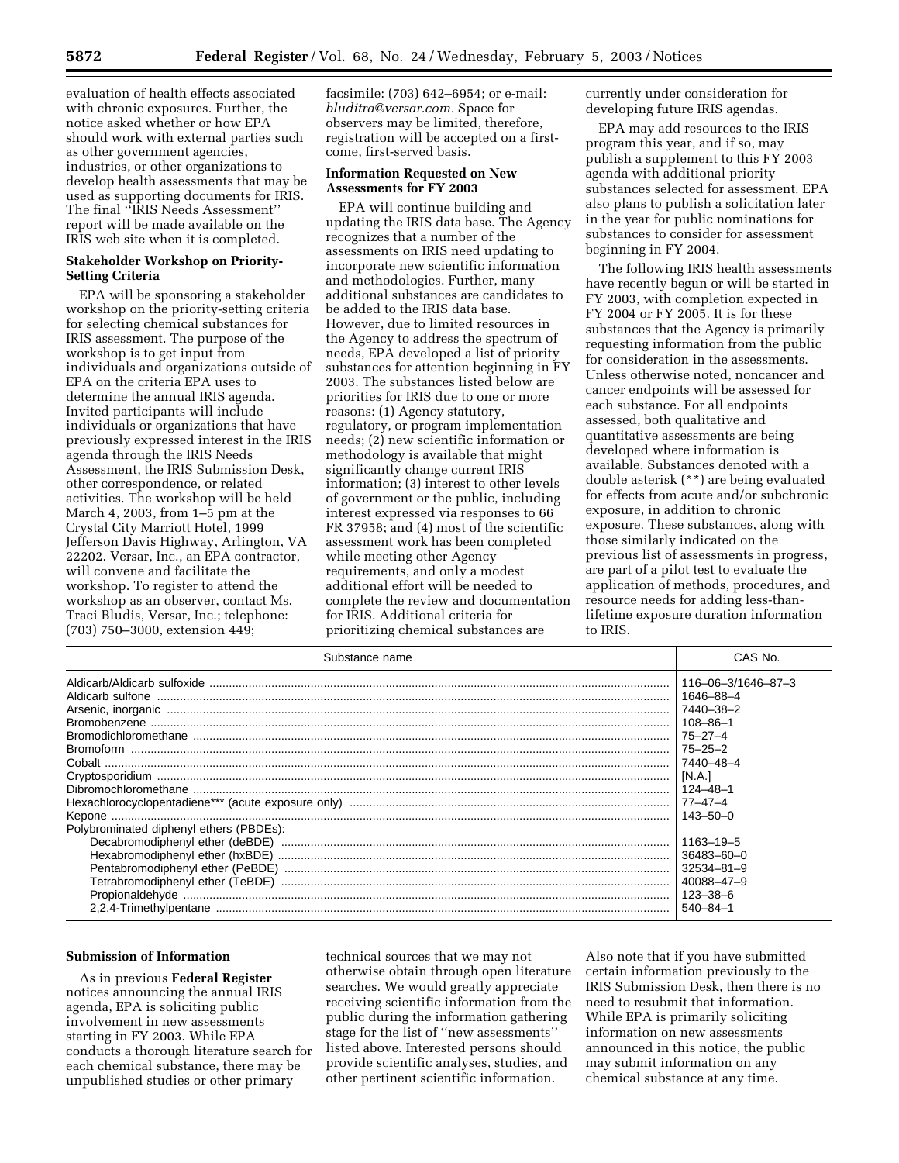evaluation of health effects associated with chronic exposures. Further, the notice asked whether or how EPA should work with external parties such as other government agencies, industries, or other organizations to develop health assessments that may be used as supporting documents for IRIS. The final ''IRIS Needs Assessment'' report will be made available on the IRIS web site when it is completed.

### **Stakeholder Workshop on Priority-Setting Criteria**

EPA will be sponsoring a stakeholder workshop on the priority-setting criteria for selecting chemical substances for IRIS assessment. The purpose of the workshop is to get input from individuals and organizations outside of EPA on the criteria EPA uses to determine the annual IRIS agenda. Invited participants will include individuals or organizations that have previously expressed interest in the IRIS agenda through the IRIS Needs Assessment, the IRIS Submission Desk, other correspondence, or related activities. The workshop will be held March 4, 2003, from 1–5 pm at the Crystal City Marriott Hotel, 1999 Jefferson Davis Highway, Arlington, VA 22202. Versar, Inc., an EPA contractor, will convene and facilitate the workshop. To register to attend the workshop as an observer, contact Ms. Traci Bludis, Versar, Inc.; telephone: (703) 750–3000, extension 449;

facsimile: (703) 642–6954; or e-mail: *bluditra@versar.com.* Space for observers may be limited, therefore, registration will be accepted on a firstcome, first-served basis.

#### **Information Requested on New Assessments for FY 2003**

EPA will continue building and updating the IRIS data base. The Agency recognizes that a number of the assessments on IRIS need updating to incorporate new scientific information and methodologies. Further, many additional substances are candidates to be added to the IRIS data base. However, due to limited resources in the Agency to address the spectrum of needs, EPA developed a list of priority substances for attention beginning in FY 2003. The substances listed below are priorities for IRIS due to one or more reasons: (1) Agency statutory, regulatory, or program implementation needs; (2) new scientific information or methodology is available that might significantly change current IRIS information; (3) interest to other levels of government or the public, including interest expressed via responses to 66 FR 37958; and (4) most of the scientific assessment work has been completed while meeting other Agency requirements, and only a modest additional effort will be needed to complete the review and documentation for IRIS. Additional criteria for prioritizing chemical substances are

currently under consideration for developing future IRIS agendas.

EPA may add resources to the IRIS program this year, and if so, may publish a supplement to this FY 2003 agenda with additional priority substances selected for assessment. EPA also plans to publish a solicitation later in the year for public nominations for substances to consider for assessment beginning in FY 2004.

The following IRIS health assessments have recently begun or will be started in FY 2003, with completion expected in FY 2004 or FY 2005. It is for these substances that the Agency is primarily requesting information from the public for consideration in the assessments. Unless otherwise noted, noncancer and cancer endpoints will be assessed for each substance. For all endpoints assessed, both qualitative and quantitative assessments are being developed where information is available. Substances denoted with a double asterisk (\*\*) are being evaluated for effects from acute and/or subchronic exposure, in addition to chronic exposure. These substances, along with those similarly indicated on the previous list of assessments in progress, are part of a pilot test to evaluate the application of methods, procedures, and resource needs for adding less-thanlifetime exposure duration information to IRIS.

| Substance name                                                  | CAS No.            |
|-----------------------------------------------------------------|--------------------|
|                                                                 | 116-06-3/1646-87-3 |
|                                                                 | 1646-88-4          |
|                                                                 | 7440-38-2          |
|                                                                 | 108-86-1           |
|                                                                 | $75 - 27 - 4$      |
|                                                                 | 75–25–2            |
|                                                                 | 7440–48–4          |
| Cryptosporidium<br>Dibromochloromethane<br>Dibromochloromethane | IN.A.I             |
|                                                                 | 124–48–1           |
|                                                                 |                    |
|                                                                 | 143-50-0           |
| Polybrominated diphenyl ethers (PBDEs):                         |                    |
|                                                                 | 1163-19-5          |
|                                                                 |                    |
|                                                                 |                    |
|                                                                 |                    |
|                                                                 | $123 - 38 - 6$     |
|                                                                 | $540 - 84 - 1$     |

#### **Submission of Information**

As in previous **Federal Register** notices announcing the annual IRIS agenda, EPA is soliciting public involvement in new assessments starting in FY 2003. While EPA conducts a thorough literature search for each chemical substance, there may be unpublished studies or other primary

technical sources that we may not otherwise obtain through open literature searches. We would greatly appreciate receiving scientific information from the public during the information gathering stage for the list of ''new assessments'' listed above. Interested persons should provide scientific analyses, studies, and other pertinent scientific information.

Also note that if you have submitted certain information previously to the IRIS Submission Desk, then there is no need to resubmit that information. While EPA is primarily soliciting information on new assessments announced in this notice, the public may submit information on any chemical substance at any time.